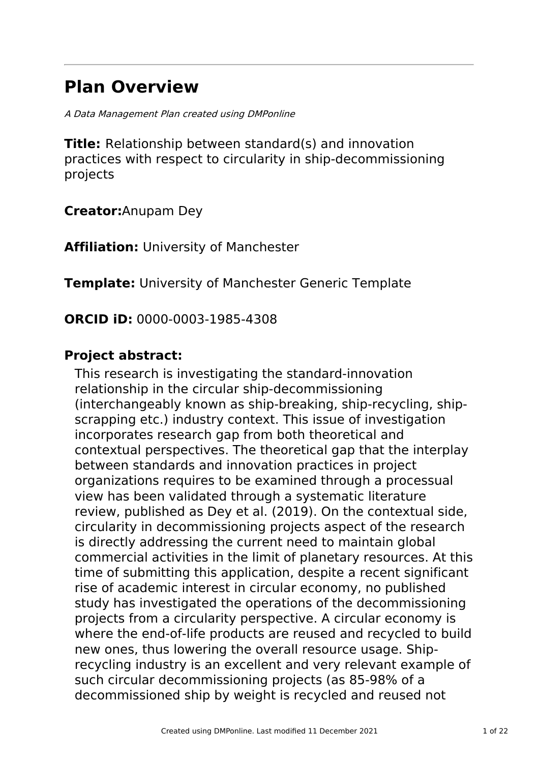# **Plan Overview**

A Data Management Plan created using DMPonline

**Title:** Relationship between standard(s) and innovation practices with respect to circularity in ship-decommissioning projects

**Creator:**Anupam Dey

**Affiliation:** University of Manchester

**Template:** University of Manchester Generic Template

**ORCID iD:** 0000-0003-1985-4308

# **Project abstract:**

This research is investigating the standard-innovation relationship in the circular ship-decommissioning (interchangeably known as ship-breaking, ship-recycling, shipscrapping etc.) industry context. This issue of investigation incorporates research gap from both theoretical and contextual perspectives. The theoretical gap that the interplay between standards and innovation practices in project organizations requires to be examined through a processual view has been validated through a systematic literature review, published as Dey et al. (2019). On the contextual side, circularity in decommissioning projects aspect of the research is directly addressing the current need to maintain global commercial activities in the limit of planetary resources. At this time of submitting this application, despite a recent significant rise of academic interest in circular economy, no published study has investigated the operations of the decommissioning projects from a circularity perspective. A circular economy is where the end-of-life products are reused and recycled to build new ones, thus lowering the overall resource usage. Shiprecycling industry is an excellent and very relevant example of such circular decommissioning projects (as 85-98% of a decommissioned ship by weight is recycled and reused not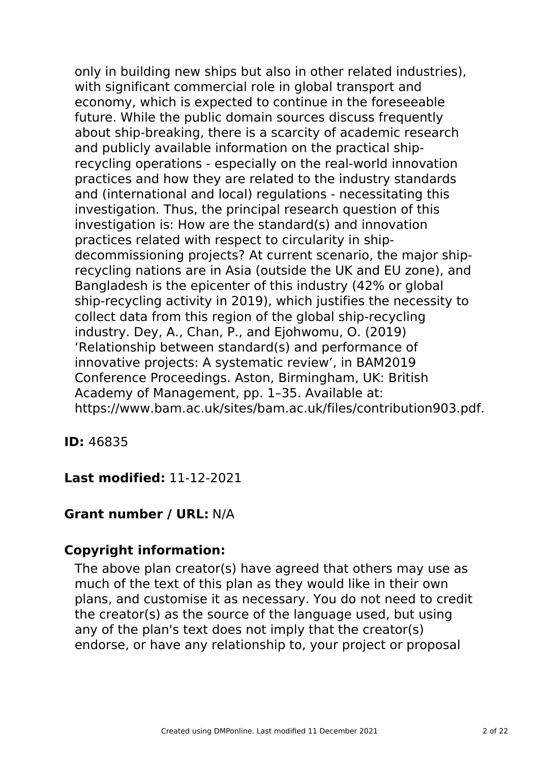only in building new ships but also in other related industries), with significant commercial role in global transport and economy, which is expected to continue in the foreseeable future. While the public domain sources discuss frequently about ship-breaking, there is a scarcity of academic research and publicly available information on the practical shiprecycling operations - especially on the real-world innovation practices and how they are related to the industry standards and (international and local) regulations - necessitating this investigation. Thus, the principal research question of this investigation is: How are the standard(s) and innovation practices related with respect to circularity in shipdecommissioning projects? At current scenario, the major shiprecycling nations are in Asia (outside the UK and EU zone), and Bangladesh is the epicenter of this industry (42% or global ship-recycling activity in 2019), which justifies the necessity to collect data from this region of the global ship-recycling industry. Dey, A., Chan, P., and Ejohwomu, O. (2019) 'Relationship between standard(s) and performance of innovative projects: A systematic review', in BAM2019 Conference Proceedings. Aston, Birmingham, UK: British Academy of Management, pp. 1–35. Available at: https://www.bam.ac.uk/sites/bam.ac.uk/files/contribution903.pdf.

**ID:** 46835

**Last modified:** 11-12-2021

# **Grant number / URL:** N/A

# **Copyright information:**

The above plan creator(s) have agreed that others may use as much of the text of this plan as they would like in their own plans, and customise it as necessary. You do not need to credit the creator(s) as the source of the language used, but using any of the plan's text does not imply that the creator(s) endorse, or have any relationship to, your project or proposal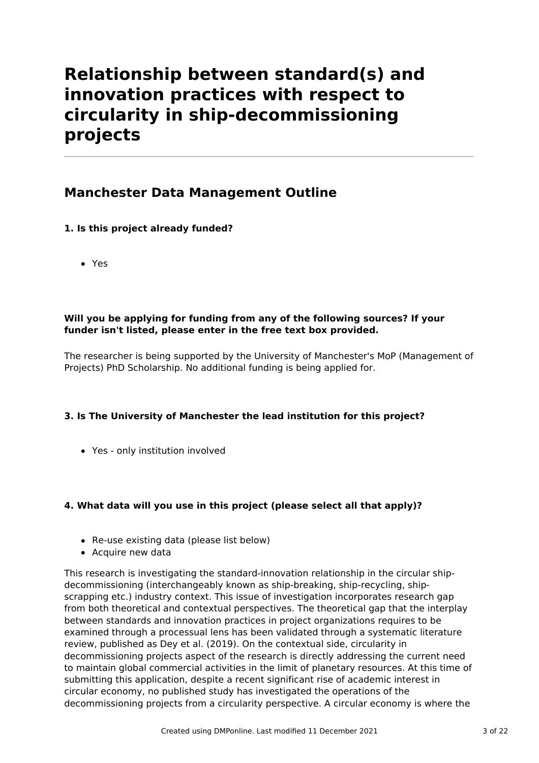# **Relationship between standard(s) and innovation practices with respect to circularity in ship-decommissioning projects**

# **Manchester Data Management Outline**

# **1. Is this project already funded?**

Yes

# **Will you be applying for funding from any of the following sources? If your funder isn't listed, please enter in the free text box provided.**

The researcher is being supported by the University of Manchester's MoP (Management of Projects) PhD Scholarship. No additional funding is being applied for.

# **3. Is The University of Manchester the lead institution for this project?**

Yes - only institution involved

# **4. What data will you use in this project (please select all that apply)?**

- Re-use existing data (please list below)
- Acquire new data

This research is investigating the standard-innovation relationship in the circular shipdecommissioning (interchangeably known as ship-breaking, ship-recycling, shipscrapping etc.) industry context. This issue of investigation incorporates research gap from both theoretical and contextual perspectives. The theoretical gap that the interplay between standards and innovation practices in project organizations requires to be examined through a processual lens has been validated through a systematic literature review, published as Dey et al. (2019). On the contextual side, circularity in decommissioning projects aspect of the research is directly addressing the current need to maintain global commercial activities in the limit of planetary resources. At this time of submitting this application, despite a recent significant rise of academic interest in circular economy, no published study has investigated the operations of the decommissioning projects from a circularity perspective. A circular economy is where the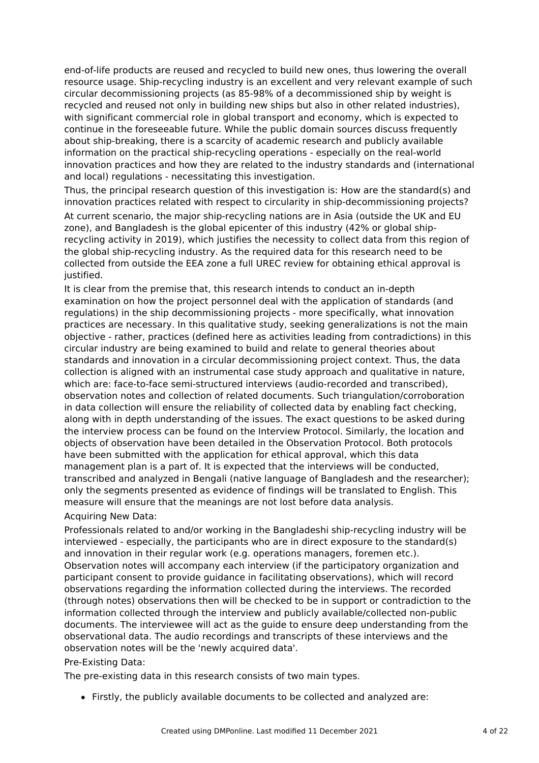end-of-life products are reused and recycled to build new ones, thus lowering the overall resource usage. Ship-recycling industry is an excellent and very relevant example of such circular decommissioning projects (as 85-98% of a decommissioned ship by weight is recycled and reused not only in building new ships but also in other related industries), with significant commercial role in global transport and economy, which is expected to continue in the foreseeable future. While the public domain sources discuss frequently about ship-breaking, there is a scarcity of academic research and publicly available information on the practical ship-recycling operations - especially on the real-world innovation practices and how they are related to the industry standards and (international and local) regulations - necessitating this investigation.

Thus, the principal research question of this investigation is: How are the standard(s) and innovation practices related with respect to circularity in ship-decommissioning projects?

At current scenario, the major ship-recycling nations are in Asia (outside the UK and EU zone), and Bangladesh is the global epicenter of this industry (42% or global shiprecycling activity in 2019), which justifies the necessity to collect data from this region of the global ship-recycling industry. As the required data for this research need to be collected from outside the EEA zone a full UREC review for obtaining ethical approval is justified.

It is clear from the premise that, this research intends to conduct an in-depth examination on how the project personnel deal with the application of standards (and regulations) in the ship decommissioning projects - more specifically, what innovation practices are necessary. In this qualitative study, seeking generalizations is not the main objective - rather, practices (defined here as activities leading from contradictions) in this circular industry are being examined to build and relate to general theories about standards and innovation in a circular decommissioning project context. Thus, the data collection is aligned with an instrumental case study approach and qualitative in nature, which are: face-to-face semi-structured interviews (audio-recorded and transcribed), observation notes and collection of related documents. Such triangulation/corroboration in data collection will ensure the reliability of collected data by enabling fact checking, along with in depth understanding of the issues. The exact questions to be asked during the interview process can be found on the Interview Protocol. Similarly, the location and objects of observation have been detailed in the Observation Protocol. Both protocols have been submitted with the application for ethical approval, which this data management plan is a part of. It is expected that the interviews will be conducted, transcribed and analyzed in Bengali (native language of Bangladesh and the researcher); only the segments presented as evidence of findings will be translated to English. This measure will ensure that the meanings are not lost before data analysis.

#### Acquiring New Data:

Professionals related to and/or working in the Bangladeshi ship-recycling industry will be interviewed - especially, the participants who are in direct exposure to the standard(s) and innovation in their regular work (e.g. operations managers, foremen etc.). Observation notes will accompany each interview (if the participatory organization and participant consent to provide guidance in facilitating observations), which will record observations regarding the information collected during the interviews. The recorded (through notes) observations then will be checked to be in support or contradiction to the information collected through the interview and publicly available/collected non-public documents. The interviewee will act as the guide to ensure deep understanding from the observational data. The audio recordings and transcripts of these interviews and the observation notes will be the 'newly acquired data'.

#### Pre-Existing Data:

The pre-existing data in this research consists of two main types.

Firstly, the publicly available documents to be collected and analyzed are: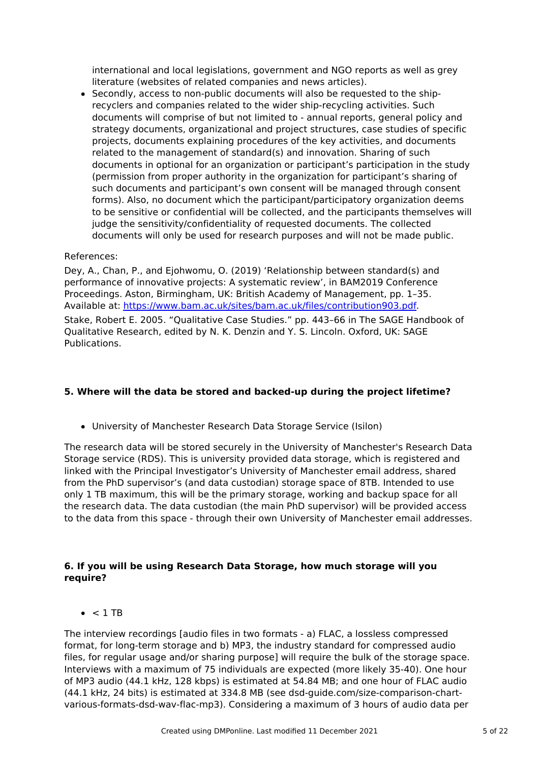international and local legislations, government and NGO reports as well as grey literature (websites of related companies and news articles).

• Secondly, access to non-public documents will also be requested to the shiprecyclers and companies related to the wider ship-recycling activities. Such documents will comprise of but not limited to - annual reports, general policy and strategy documents, organizational and project structures, case studies of specific projects, documents explaining procedures of the key activities, and documents related to the management of standard(s) and innovation. Sharing of such documents in optional for an organization or participant's participation in the study (permission from proper authority in the organization for participant's sharing of such documents and participant's own consent will be managed through consent forms). Also, no document which the participant/participatory organization deems to be sensitive or confidential will be collected, and the participants themselves will judge the sensitivity/confidentiality of requested documents. The collected documents will only be used for research purposes and will not be made public.

#### References:

Dey, A., Chan, P., and Ejohwomu, O. (2019) 'Relationship between standard(s) and performance of innovative projects: A systematic review', in BAM2019 Conference Proceedings. Aston, Birmingham, UK: British Academy of Management, pp. 1–35. Available at: <https://www.bam.ac.uk/sites/bam.ac.uk/files/contribution903.pdf>. Stake, Robert E. 2005. "Qualitative Case Studies." pp. 443–66 in The SAGE Handbook of Qualitative Research, edited by N. K. Denzin and Y. S. Lincoln. Oxford, UK: SAGE Publications.

# **5. Where will the data be stored and backed-up during the project lifetime?**

University of Manchester Research Data Storage Service (Isilon)

The research data will be stored securely in the University of Manchester's Research Data Storage service (RDS). This is university provided data storage, which is registered and linked with the Principal Investigator's University of Manchester email address, shared from the PhD supervisor's (and data custodian) storage space of 8TB. Intended to use only 1 TB maximum, this will be the primary storage, working and backup space for all the research data. The data custodian (the main PhD supervisor) will be provided access to the data from this space - through their own University of Manchester email addresses.

#### **6. If you will be using Research Data Storage, how much storage will you require?**

 $\bullet$  < 1 TR

The interview recordings [audio files in two formats - a) FLAC, a lossless compressed format, for long-term storage and b) MP3, the industry standard for compressed audio files, for regular usage and/or sharing purpose] will require the bulk of the storage space. Interviews with a maximum of 75 individuals are expected (more likely 35-40). One hour of MP3 audio (44.1 kHz, 128 kbps) is estimated at 54.84 MB; and one hour of FLAC audio (44.1 kHz, 24 bits) is estimated at 334.8 MB (see dsd-guide.com/size-comparison-chartvarious-formats-dsd-wav-flac-mp3). Considering a maximum of 3 hours of audio data per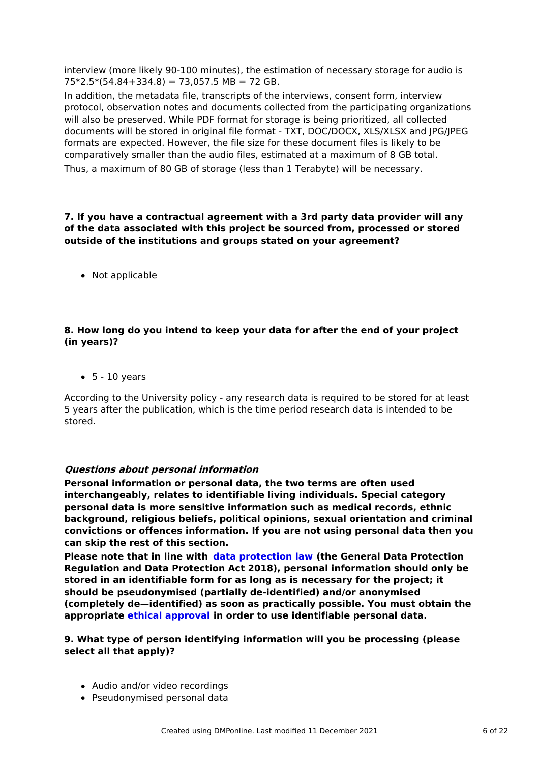interview (more likely 90-100 minutes), the estimation of necessary storage for audio is  $75*2.5*(54.84+334.8) = 73,057.5 \text{ MB} = 72 \text{ GB}.$ 

In addition, the metadata file, transcripts of the interviews, consent form, interview protocol, observation notes and documents collected from the participating organizations will also be preserved. While PDF format for storage is being prioritized, all collected documents will be stored in original file format - TXT, DOC/DOCX, XLS/XLSX and JPG/JPEG formats are expected. However, the file size for these document files is likely to be comparatively smaller than the audio files, estimated at a maximum of 8 GB total. Thus, a maximum of 80 GB of storage (less than 1 Terabyte) will be necessary.

# **7. If you have a contractual agreement with a 3rd party data provider will any of the data associated with this project be sourced from, processed or stored outside of the institutions and groups stated on your agreement?**

• Not applicable

# **8. How long do you intend to keep your data for after the end of your project (in years)?**

 $\bullet$  5 - 10 years

According to the University policy - any research data is required to be stored for at least 5 years after the publication, which is the time period research data is intended to be stored.

# **Questions about personal information**

**Personal information or personal data, the two terms are often used interchangeably, relates to identifiable living individuals. Special category personal data is more sensitive information such as medical records, ethnic background, religious beliefs, political opinions, sexual orientation and criminal convictions or offences information. If you are not using personal data then you can skip the rest of this section.**

**Please note that in line with data [protection](http://www.staffnet.manchester.ac.uk/igo/data-protection/what-is-data-protection/) law (the General Data Protection Regulation and Data Protection Act 2018), personal information should only be stored in an identifiable form for as long as is necessary for the project; it should be pseudonymised (partially de-identified) and/or anonymised (completely de—identified) as soon as practically possible. You must obtain the appropriate ethical [approval](http://www.staffnet.manchester.ac.uk/services/rbess/governance/ethics/new-online-system-for-ethics-review-erm/) in order to use identifiable personal data.**

#### **9. What type of person identifying information will you be processing (please select all that apply)?**

- Audio and/or video recordings
- Pseudonymised personal data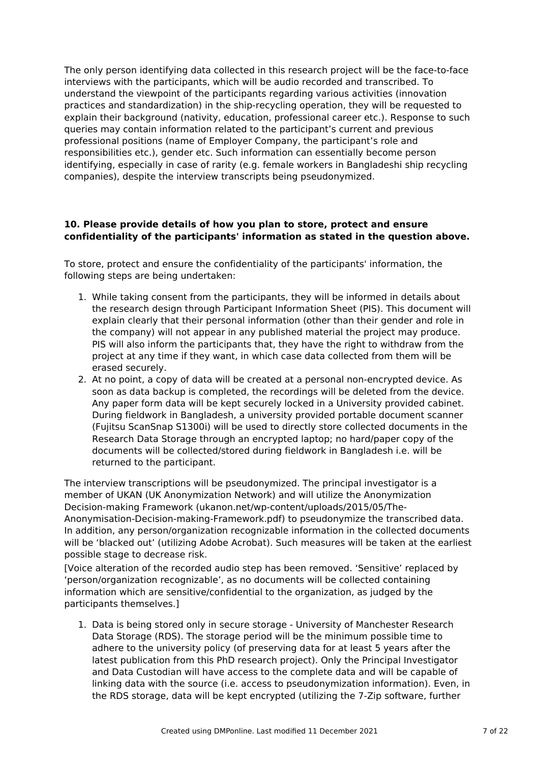The only person identifying data collected in this research project will be the face-to-face interviews with the participants, which will be audio recorded and transcribed. To understand the viewpoint of the participants regarding various activities (innovation practices and standardization) in the ship-recycling operation, they will be requested to explain their background (nativity, education, professional career etc.). Response to such queries may contain information related to the participant's current and previous professional positions (name of Employer Company, the participant's role and responsibilities etc.), gender etc. Such information can essentially become person identifying, especially in case of rarity (e.g. female workers in Bangladeshi ship recycling companies), despite the interview transcripts being pseudonymized.

# **10. Please provide details of how you plan to store, protect and ensure confidentiality of the participants' information as stated in the question above.**

To store, protect and ensure the confidentiality of the participants' information, the following steps are being undertaken:

- 1. While taking consent from the participants, they will be informed in details about the research design through Participant Information Sheet (PIS). This document will explain clearly that their personal information (other than their gender and role in the company) will not appear in any published material the project may produce. PIS will also inform the participants that, they have the right to withdraw from the project at any time if they want, in which case data collected from them will be erased securely.
- 2. At no point, a copy of data will be created at a personal non-encrypted device. As soon as data backup is completed, the recordings will be deleted from the device. Any paper form data will be kept securely locked in a University provided cabinet. During fieldwork in Bangladesh, a university provided portable document scanner (Fujitsu ScanSnap S1300i) will be used to directly store collected documents in the Research Data Storage through an encrypted laptop; no hard/paper copy of the documents will be collected/stored during fieldwork in Bangladesh i.e. will be returned to the participant.

The interview transcriptions will be pseudonymized. The principal investigator is a member of UKAN (UK Anonymization Network) and will utilize the Anonymization Decision-making Framework (ukanon.net/wp-content/uploads/2015/05/The-Anonymisation-Decision-making-Framework.pdf) to pseudonymize the transcribed data. In addition, any person/organization recognizable information in the collected documents will be 'blacked out' (utilizing Adobe Acrobat). Such measures will be taken at the earliest possible stage to decrease risk.

[Voice alteration of the recorded audio step has been removed. 'Sensitive' replaced by 'person/organization recognizable', as no documents will be collected containing information which are sensitive/confidential to the organization, as judged by the participants themselves.]

1. Data is being stored only in secure storage - University of Manchester Research Data Storage (RDS). The storage period will be the minimum possible time to adhere to the university policy (of preserving data for at least 5 years after the latest publication from this PhD research project). Only the Principal Investigator and Data Custodian will have access to the complete data and will be capable of linking data with the source (i.e. access to pseudonymization information). Even, in the RDS storage, data will be kept encrypted (utilizing the 7-Zip software, further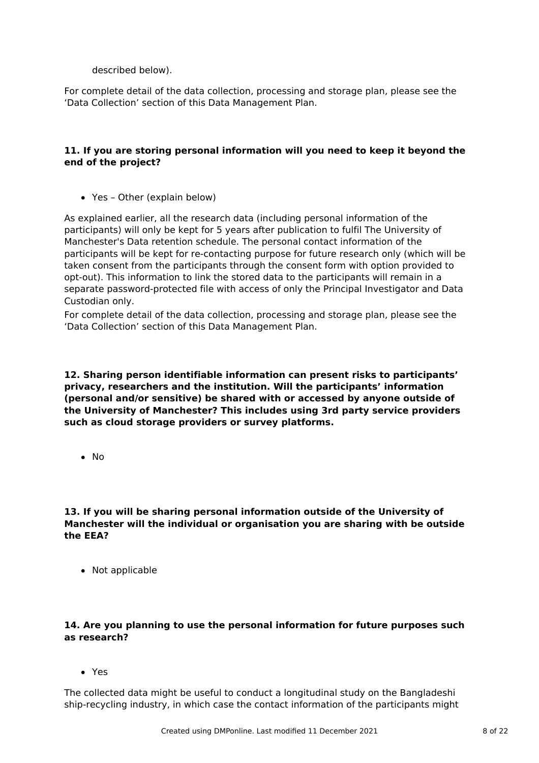described below).

For complete detail of the data collection, processing and storage plan, please see the 'Data Collection' section of this Data Management Plan.

# **11. If you are storing personal information will you need to keep it beyond the end of the project?**

Yes – Other (explain below)

As explained earlier, all the research data (including personal information of the participants) will only be kept for 5 years after publication to fulfil The University of Manchester's Data retention schedule. The personal contact information of the participants will be kept for re-contacting purpose for future research only (which will be taken consent from the participants through the consent form with option provided to opt-out). This information to link the stored data to the participants will remain in a separate password-protected file with access of only the Principal Investigator and Data Custodian only.

For complete detail of the data collection, processing and storage plan, please see the 'Data Collection' section of this Data Management Plan.

**12. Sharing person identifiable information can present risks to participants' privacy, researchers and the institution. Will the participants' information (personal and/or sensitive) be shared with or accessed by anyone outside of the University of Manchester? This includes using 3rd party service providers such as cloud storage providers or survey platforms.**

 $\bullet$  No

**13. If you will be sharing personal information outside of the University of Manchester will the individual or organisation you are sharing with be outside the EEA?**

• Not applicable

# **14. Are you planning to use the personal information for future purposes such as research?**

Yes

The collected data might be useful to conduct a longitudinal study on the Bangladeshi ship-recycling industry, in which case the contact information of the participants might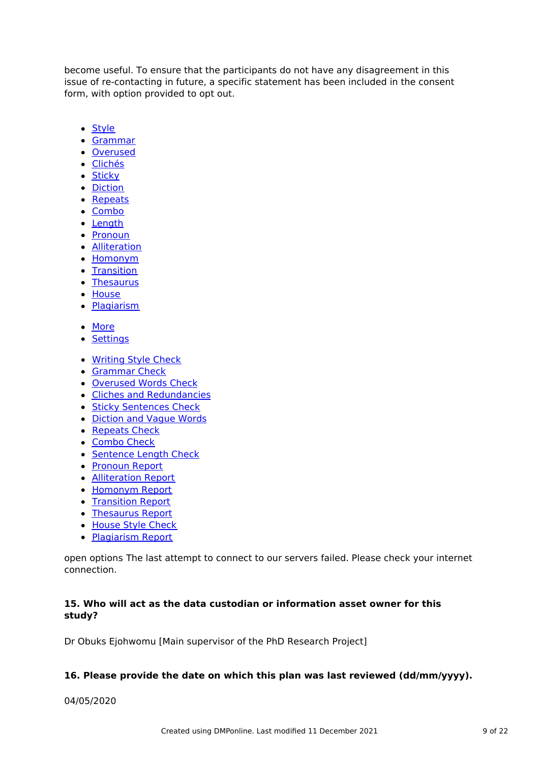become useful. To ensure that the participants do not have any disagreement in this issue of re-contacting in future, a specific statement has been included in the consent form, with option provided to opt out.

- Style
- Grammar
- Overused
- Clichés
- Sticky
- Diction
- Repeats
- Combo
- Length
- Pronoun
- Alliteration
- Homonym
- Transition
- Thesaurus
- House
- Plagiarism
- More
- Settings
- Writing Style Check
- **Grammar Check**
- Overused Words Check
- Cliches and Redundancies
- **Sticky Sentences Check**
- Diction and Vague Words
- Repeats Check
- Combo Check
- Sentence Length Check
- Pronoun Report
- Alliteration Report
- Homonym Report
- Transition Report
- Thesaurus Report
- House Style Check
- Plagiarism Report

open options The last attempt to connect to our servers failed. Please check your internet connection.

# **15. Who will act as the data custodian or information asset owner for this study?**

Dr Obuks Ejohwomu [Main supervisor of the PhD Research Project]

# **16. Please provide the date on which this plan was last reviewed (dd/mm/yyyy).**

04/05/2020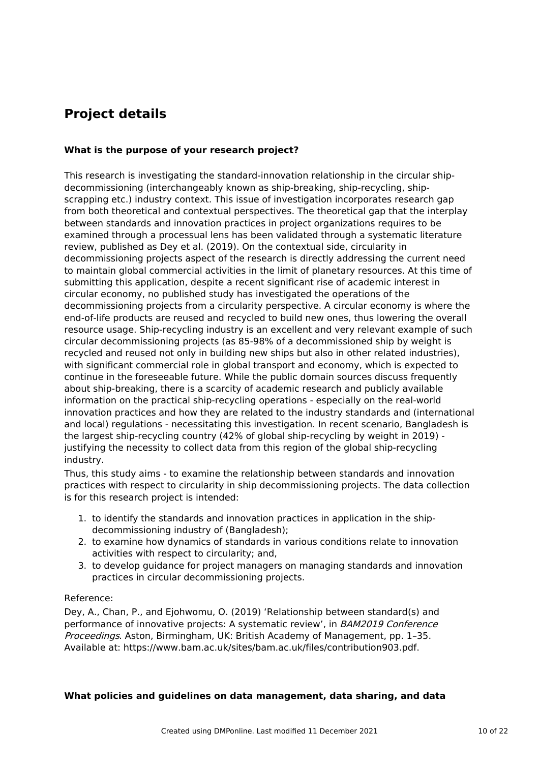# **Project details**

# **What is the purpose of your research project?**

This research is investigating the standard-innovation relationship in the circular shipdecommissioning (interchangeably known as ship-breaking, ship-recycling, shipscrapping etc.) industry context. This issue of investigation incorporates research gap from both theoretical and contextual perspectives. The theoretical gap that the interplay between standards and innovation practices in project organizations requires to be examined through a processual lens has been validated through a systematic literature review, published as Dey et al. (2019). On the contextual side, circularity in decommissioning projects aspect of the research is directly addressing the current need to maintain global commercial activities in the limit of planetary resources. At this time of submitting this application, despite a recent significant rise of academic interest in circular economy, no published study has investigated the operations of the decommissioning projects from a circularity perspective. A circular economy is where the end-of-life products are reused and recycled to build new ones, thus lowering the overall resource usage. Ship-recycling industry is an excellent and very relevant example of such circular decommissioning projects (as 85-98% of a decommissioned ship by weight is recycled and reused not only in building new ships but also in other related industries), with significant commercial role in global transport and economy, which is expected to continue in the foreseeable future. While the public domain sources discuss frequently about ship-breaking, there is a scarcity of academic research and publicly available information on the practical ship-recycling operations - especially on the real-world innovation practices and how they are related to the industry standards and (international and local) regulations - necessitating this investigation. In recent scenario, Bangladesh is the largest ship-recycling country (42% of global ship-recycling by weight in 2019) justifying the necessity to collect data from this region of the global ship-recycling industry.

Thus, this study aims - to examine the relationship between standards and innovation practices with respect to circularity in ship decommissioning projects. The data collection is for this research project is intended:

- 1. to identify the standards and innovation practices in application in the shipdecommissioning industry of (Bangladesh);
- 2. to examine how dynamics of standards in various conditions relate to innovation activities with respect to circularity; and,
- 3. to develop guidance for project managers on managing standards and innovation practices in circular decommissioning projects.

# Reference:

Dey, A., Chan, P., and Ejohwomu, O. (2019) 'Relationship between standard(s) and performance of innovative projects: A systematic review', in BAM2019 Conference Proceedings. Aston, Birmingham, UK: British Academy of Management, pp. 1–35. Available at: https://www.bam.ac.uk/sites/bam.ac.uk/files/contribution903.pdf.

#### **What policies and guidelines on data management, data sharing, and data**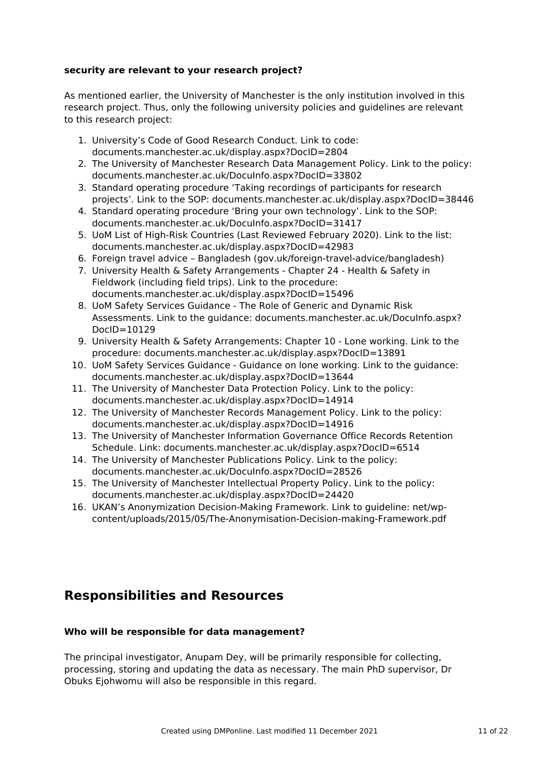## **security are relevant to your research project?**

As mentioned earlier, the University of Manchester is the only institution involved in this research project. Thus, only the following university policies and guidelines are relevant to this research project:

- 1. University's Code of Good Research Conduct. Link to code: documents.manchester.ac.uk/display.aspx?DocID=2804
- 2. The University of Manchester Research Data Management Policy. Link to the policy: documents.manchester.ac.uk/DocuInfo.aspx?DocID=33802
- 3. Standard operating procedure 'Taking recordings of participants for research projects'. Link to the SOP: documents.manchester.ac.uk/display.aspx?DocID=38446
- 4. Standard operating procedure 'Bring your own technology'. Link to the SOP: documents.manchester.ac.uk/DocuInfo.aspx?DocID=31417
- 5. UoM List of High-Risk Countries (Last Reviewed February 2020). Link to the list: documents.manchester.ac.uk/display.aspx?DocID=42983
- 6. Foreign travel advice Bangladesh (gov.uk/foreign-travel-advice/bangladesh)
- 7. University Health & Safety Arrangements Chapter 24 Health & Safety in Fieldwork (including field trips). Link to the procedure: documents.manchester.ac.uk/display.aspx?DocID=15496
- 8. UoM Safety Services Guidance The Role of Generic and Dynamic Risk Assessments. Link to the guidance: documents.manchester.ac.uk/DocuInfo.aspx? DocID=10129
- 9. University Health & Safety Arrangements: Chapter 10 Lone working. Link to the procedure: documents.manchester.ac.uk/display.aspx?DocID=13891
- 10. UoM Safety Services Guidance Guidance on lone working. Link to the guidance: documents.manchester.ac.uk/display.aspx?DocID=13644
- 11. The University of Manchester Data Protection Policy. Link to the policy: documents.manchester.ac.uk/display.aspx?DocID=14914
- 12. The University of Manchester Records Management Policy. Link to the policy: documents.manchester.ac.uk/display.aspx?DocID=14916
- 13. The University of Manchester Information Governance Office Records Retention Schedule. Link: documents.manchester.ac.uk/display.aspx?DocID=6514
- 14. The University of Manchester Publications Policy. Link to the policy: documents.manchester.ac.uk/DocuInfo.aspx?DocID=28526
- 15. The University of Manchester Intellectual Property Policy. Link to the policy: documents.manchester.ac.uk/display.aspx?DocID=24420
- 16. UKAN's Anonymization Decision-Making Framework. Link to guideline: net/wpcontent/uploads/2015/05/The-Anonymisation-Decision-making-Framework.pdf

# **Responsibilities and Resources**

# **Who will be responsible for data management?**

The principal investigator, Anupam Dey, will be primarily responsible for collecting, processing, storing and updating the data as necessary. The main PhD supervisor, Dr Obuks Ejohwomu will also be responsible in this regard.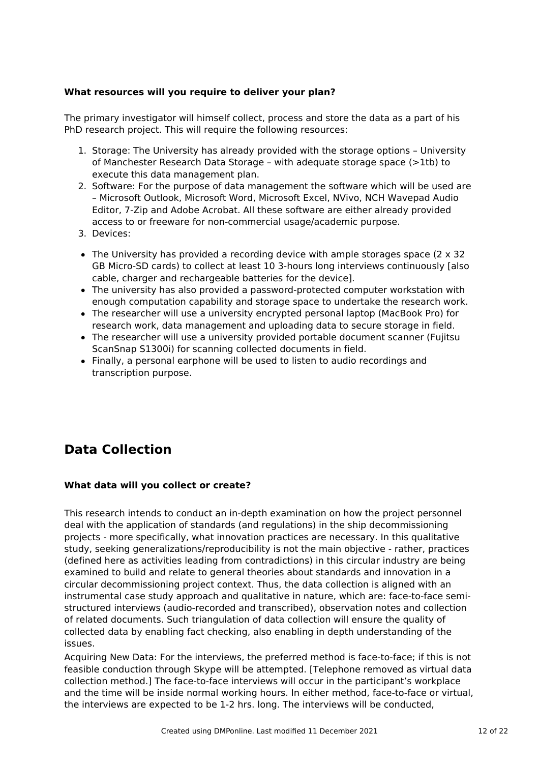# **What resources will you require to deliver your plan?**

The primary investigator will himself collect, process and store the data as a part of his PhD research project. This will require the following resources:

- 1. Storage: The University has already provided with the storage options University of Manchester Research Data Storage – with adequate storage space (>1tb) to execute this data management plan.
- 2. Software: For the purpose of data management the software which will be used are – Microsoft Outlook, Microsoft Word, Microsoft Excel, NVivo, NCH Wavepad Audio Editor, 7-Zip and Adobe Acrobat. All these software are either already provided access to or freeware for non-commercial usage/academic purpose.
- 3. Devices:
- $\bullet$  The University has provided a recording device with ample storages space (2  $\times$  32 GB Micro-SD cards) to collect at least 10 3-hours long interviews continuously [also cable, charger and rechargeable batteries for the device].
- The university has also provided a password-protected computer workstation with enough computation capability and storage space to undertake the research work.
- The researcher will use a university encrypted personal laptop (MacBook Pro) for research work, data management and uploading data to secure storage in field.
- The researcher will use a university provided portable document scanner (Fujitsu ScanSnap S1300i) for scanning collected documents in field.
- Finally, a personal earphone will be used to listen to audio recordings and transcription purpose.

# **Data Collection**

# **What data will you collect or create?**

This research intends to conduct an in-depth examination on how the project personnel deal with the application of standards (and regulations) in the ship decommissioning projects - more specifically, what innovation practices are necessary. In this qualitative study, seeking generalizations/reproducibility is not the main objective - rather, practices (defined here as activities leading from contradictions) in this circular industry are being examined to build and relate to general theories about standards and innovation in a circular decommissioning project context. Thus, the data collection is aligned with an instrumental case study approach and qualitative in nature, which are: face-to-face semistructured interviews (audio-recorded and transcribed), observation notes and collection of related documents. Such triangulation of data collection will ensure the quality of collected data by enabling fact checking, also enabling in depth understanding of the issues.

Acquiring New Data: For the interviews, the preferred method is face-to-face; if this is not feasible conduction through Skype will be attempted. [Telephone removed as virtual data collection method.] The face-to-face interviews will occur in the participant's workplace and the time will be inside normal working hours. In either method, face-to-face or virtual, the interviews are expected to be 1-2 hrs. long. The interviews will be conducted,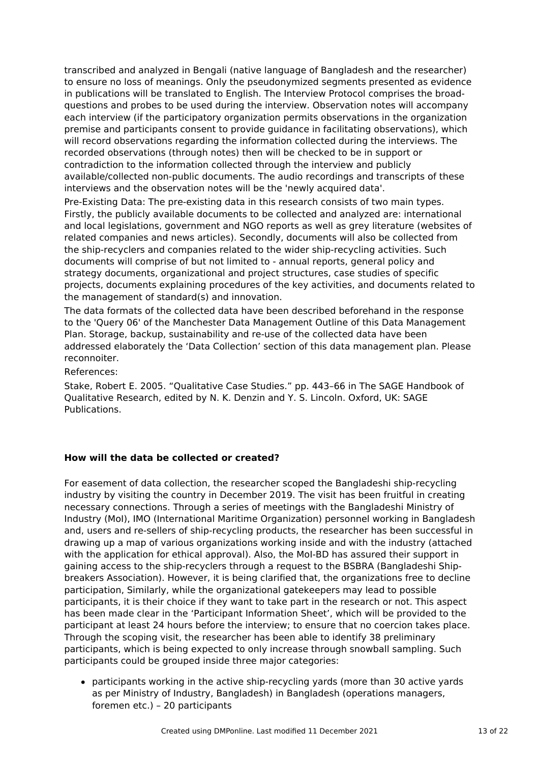transcribed and analyzed in Bengali (native language of Bangladesh and the researcher) to ensure no loss of meanings. Only the pseudonymized segments presented as evidence in publications will be translated to English. The Interview Protocol comprises the broadquestions and probes to be used during the interview. Observation notes will accompany each interview (if the participatory organization permits observations in the organization premise and participants consent to provide guidance in facilitating observations), which will record observations regarding the information collected during the interviews. The recorded observations (through notes) then will be checked to be in support or contradiction to the information collected through the interview and publicly available/collected non-public documents. The audio recordings and transcripts of these interviews and the observation notes will be the 'newly acquired data'.

Pre-Existing Data: The pre-existing data in this research consists of two main types. Firstly, the publicly available documents to be collected and analyzed are: international and local legislations, government and NGO reports as well as grey literature (websites of related companies and news articles). Secondly, documents will also be collected from the ship-recyclers and companies related to the wider ship-recycling activities. Such documents will comprise of but not limited to - annual reports, general policy and strategy documents, organizational and project structures, case studies of specific projects, documents explaining procedures of the key activities, and documents related to the management of standard(s) and innovation.

The data formats of the collected data have been described beforehand in the response to the 'Query 06' of the Manchester Data Management Outline of this Data Management Plan. Storage, backup, sustainability and re-use of the collected data have been addressed elaborately the 'Data Collection' section of this data management plan. Please reconnoiter.

References:

Stake, Robert E. 2005. "Qualitative Case Studies." pp. 443–66 in The SAGE Handbook of Qualitative Research, edited by N. K. Denzin and Y. S. Lincoln. Oxford, UK: SAGE Publications.

# **How will the data be collected or created?**

For easement of data collection, the researcher scoped the Bangladeshi ship-recycling industry by visiting the country in December 2019. The visit has been fruitful in creating necessary connections. Through a series of meetings with the Bangladeshi Ministry of Industry (MoI), IMO (International Maritime Organization) personnel working in Bangladesh and, users and re-sellers of ship-recycling products, the researcher has been successful in drawing up a map of various organizations working inside and with the industry (attached with the application for ethical approval). Also, the MoI-BD has assured their support in gaining access to the ship-recyclers through a request to the BSBRA (Bangladeshi Shipbreakers Association). However, it is being clarified that, the organizations free to decline participation, Similarly, while the organizational gatekeepers may lead to possible participants, it is their choice if they want to take part in the research or not. This aspect has been made clear in the 'Participant Information Sheet', which will be provided to the participant at least 24 hours before the interview; to ensure that no coercion takes place. Through the scoping visit, the researcher has been able to identify 38 preliminary participants, which is being expected to only increase through snowball sampling. Such participants could be grouped inside three major categories:

participants working in the active ship-recycling yards (more than 30 active yards as per Ministry of Industry, Bangladesh) in Bangladesh (operations managers, foremen etc.) – 20 participants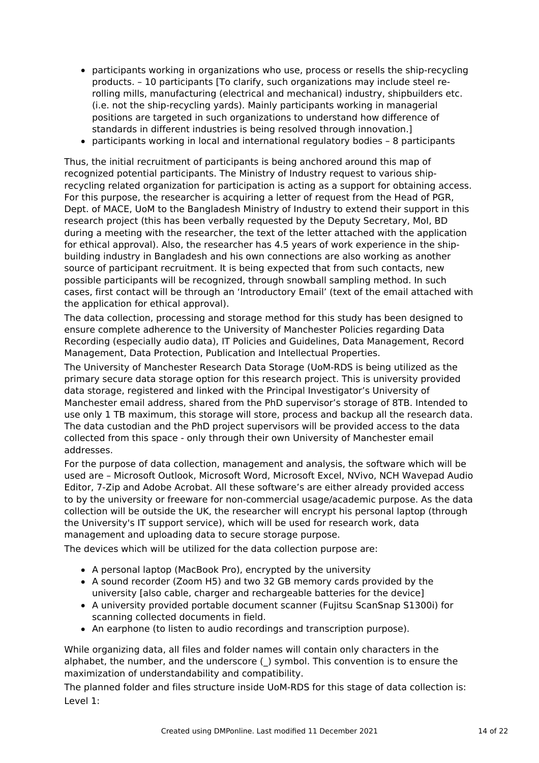- participants working in organizations who use, process or resells the ship-recycling products. – 10 participants [To clarify, such organizations may include steel rerolling mills, manufacturing (electrical and mechanical) industry, shipbuilders etc. (i.e. not the ship-recycling yards). Mainly participants working in managerial positions are targeted in such organizations to understand how difference of standards in different industries is being resolved through innovation.]
- participants working in local and international regulatory bodies 8 participants

Thus, the initial recruitment of participants is being anchored around this map of recognized potential participants. The Ministry of Industry request to various shiprecycling related organization for participation is acting as a support for obtaining access. For this purpose, the researcher is acquiring a letter of request from the Head of PGR, Dept. of MACE, UoM to the Bangladesh Ministry of Industry to extend their support in this research project (this has been verbally requested by the Deputy Secretary, MoI, BD during a meeting with the researcher, the text of the letter attached with the application for ethical approval). Also, the researcher has 4.5 years of work experience in the shipbuilding industry in Bangladesh and his own connections are also working as another source of participant recruitment. It is being expected that from such contacts, new possible participants will be recognized, through snowball sampling method. In such cases, first contact will be through an 'Introductory Email' (text of the email attached with the application for ethical approval).

The data collection, processing and storage method for this study has been designed to ensure complete adherence to the University of Manchester Policies regarding Data Recording (especially audio data), IT Policies and Guidelines, Data Management, Record Management, Data Protection, Publication and Intellectual Properties.

The University of Manchester Research Data Storage (UoM-RDS is being utilized as the primary secure data storage option for this research project. This is university provided data storage, registered and linked with the Principal Investigator's University of Manchester email address, shared from the PhD supervisor's storage of 8TB. Intended to use only 1 TB maximum, this storage will store, process and backup all the research data. The data custodian and the PhD project supervisors will be provided access to the data collected from this space - only through their own University of Manchester email addresses.

For the purpose of data collection, management and analysis, the software which will be used are – Microsoft Outlook, Microsoft Word, Microsoft Excel, NVivo, NCH Wavepad Audio Editor, 7-Zip and Adobe Acrobat. All these software's are either already provided access to by the university or freeware for non-commercial usage/academic purpose. As the data collection will be outside the UK, the researcher will encrypt his personal laptop (through the University's IT support service), which will be used for research work, data management and uploading data to secure storage purpose.

The devices which will be utilized for the data collection purpose are:

- A personal laptop (MacBook Pro), encrypted by the university
- A sound recorder (Zoom H5) and two 32 GB memory cards provided by the university [also cable, charger and rechargeable batteries for the device]
- A university provided portable document scanner (Fujitsu ScanSnap S1300i) for scanning collected documents in field.
- An earphone (to listen to audio recordings and transcription purpose).

While organizing data, all files and folder names will contain only characters in the alphabet, the number, and the underscore () symbol. This convention is to ensure the maximization of understandability and compatibility.

The planned folder and files structure inside UoM-RDS for this stage of data collection is: Level 1: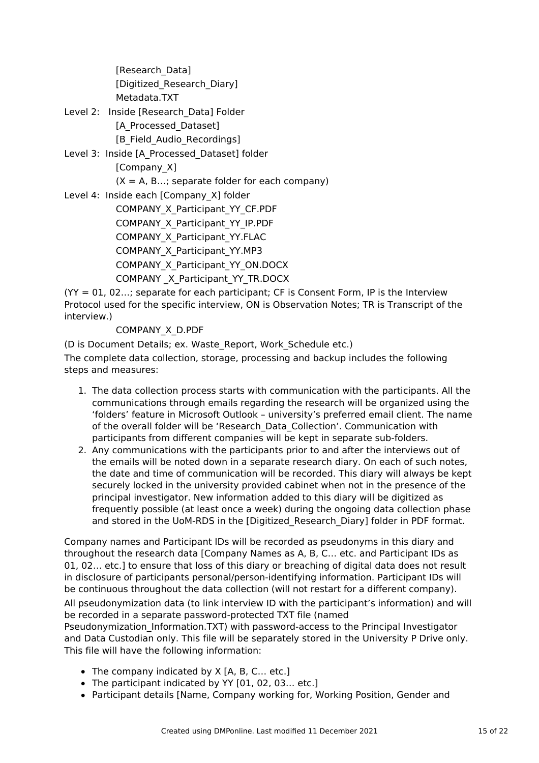[Research\_Data] [Digitized\_Research\_Diary] Metadata.TXT

- Level 2: Inside [Research Data] Folder [A\_Processed\_Dataset] [B\_Field\_Audio\_Recordings]
- Level 3: Inside [A\_Processed\_Dataset] folder [Company X]  $(X = A, B...;$  separate folder for each company)

Level 4: Inside each [Company\_X] folder COMPANY\_X\_Participant\_YY\_CF.PDF COMPANY\_X\_Participant\_YY\_IP.PDF COMPANY\_X\_Participant\_YY.FLAC COMPANY\_X\_Participant\_YY.MP3 COMPANY\_X\_Participant\_YY\_ON.DOCX COMPANY \_X\_Participant\_YY\_TR.DOCX

 $(YY = 01, 02...;$  separate for each participant; CF is Consent Form, IP is the Interview Protocol used for the specific interview, ON is Observation Notes; TR is Transcript of the interview.)

# COMPANY\_X\_D.PDF

(D is Document Details; ex. Waste\_Report, Work\_Schedule etc.) The complete data collection, storage, processing and backup includes the following steps and measures:

- 1. The data collection process starts with communication with the participants. All the communications through emails regarding the research will be organized using the 'folders' feature in Microsoft Outlook – university's preferred email client. The name of the overall folder will be 'Research\_Data\_Collection'. Communication with participants from different companies will be kept in separate sub-folders.
- 2. Any communications with the participants prior to and after the interviews out of the emails will be noted down in a separate research diary. On each of such notes, the date and time of communication will be recorded. This diary will always be kept securely locked in the university provided cabinet when not in the presence of the principal investigator. New information added to this diary will be digitized as frequently possible (at least once a week) during the ongoing data collection phase and stored in the UoM-RDS in the [Digitized\_Research\_Diary] folder in PDF format.

Company names and Participant IDs will be recorded as pseudonyms in this diary and throughout the research data [Company Names as A, B, C… etc. and Participant IDs as 01, 02… etc.] to ensure that loss of this diary or breaching of digital data does not result in disclosure of participants personal/person-identifying information. Participant IDs will be continuous throughout the data collection (will not restart for a different company). All pseudonymization data (to link interview ID with the participant's information) and will be recorded in a separate password-protected TXT file (named Pseudonymization Information.TXT) with password-access to the Principal Investigator

and Data Custodian only. This file will be separately stored in the University P Drive only. This file will have the following information:

- $\bullet$  The company indicated by X [A, B, C... etc.]
- The participant indicated by YY [01, 02, 03... etc.]
- Participant details [Name, Company working for, Working Position, Gender and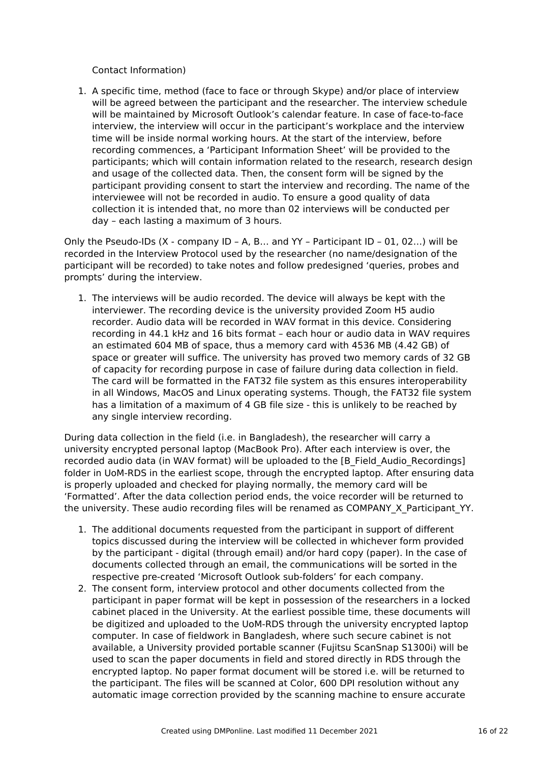Contact Information)

1. A specific time, method (face to face or through Skype) and/or place of interview will be agreed between the participant and the researcher. The interview schedule will be maintained by Microsoft Outlook's calendar feature. In case of face-to-face interview, the interview will occur in the participant's workplace and the interview time will be inside normal working hours. At the start of the interview, before recording commences, a 'Participant Information Sheet' will be provided to the participants; which will contain information related to the research, research design and usage of the collected data. Then, the consent form will be signed by the participant providing consent to start the interview and recording. The name of the interviewee will not be recorded in audio. To ensure a good quality of data collection it is intended that, no more than 02 interviews will be conducted per day – each lasting a maximum of 3 hours.

Only the Pseudo-IDs (X - company ID – A, B… and YY – Participant ID – 01, 02…) will be recorded in the Interview Protocol used by the researcher (no name/designation of the participant will be recorded) to take notes and follow predesigned 'queries, probes and prompts' during the interview.

1. The interviews will be audio recorded. The device will always be kept with the interviewer. The recording device is the university provided Zoom H5 audio recorder. Audio data will be recorded in WAV format in this device. Considering recording in 44.1 kHz and 16 bits format – each hour or audio data in WAV requires an estimated 604 MB of space, thus a memory card with 4536 MB (4.42 GB) of space or greater will suffice. The university has proved two memory cards of 32 GB of capacity for recording purpose in case of failure during data collection in field. The card will be formatted in the FAT32 file system as this ensures interoperability in all Windows, MacOS and Linux operating systems. Though, the FAT32 file system has a limitation of a maximum of 4 GB file size - this is unlikely to be reached by any single interview recording.

During data collection in the field (i.e. in Bangladesh), the researcher will carry a university encrypted personal laptop (MacBook Pro). After each interview is over, the recorded audio data (in WAV format) will be uploaded to the [B\_Field\_Audio\_Recordings] folder in UoM-RDS in the earliest scope, through the encrypted laptop. After ensuring data is properly uploaded and checked for playing normally, the memory card will be 'Formatted'. After the data collection period ends, the voice recorder will be returned to the university. These audio recording files will be renamed as COMPANY X Participant YY.

- 1. The additional documents requested from the participant in support of different topics discussed during the interview will be collected in whichever form provided by the participant - digital (through email) and/or hard copy (paper). In the case of documents collected through an email, the communications will be sorted in the respective pre-created 'Microsoft Outlook sub-folders' for each company.
- 2. The consent form, interview protocol and other documents collected from the participant in paper format will be kept in possession of the researchers in a locked cabinet placed in the University. At the earliest possible time, these documents will be digitized and uploaded to the UoM-RDS through the university encrypted laptop computer. In case of fieldwork in Bangladesh, where such secure cabinet is not available, a University provided portable scanner (Fujitsu ScanSnap S1300i) will be used to scan the paper documents in field and stored directly in RDS through the encrypted laptop. No paper format document will be stored i.e. will be returned to the participant. The files will be scanned at Color, 600 DPI resolution without any automatic image correction provided by the scanning machine to ensure accurate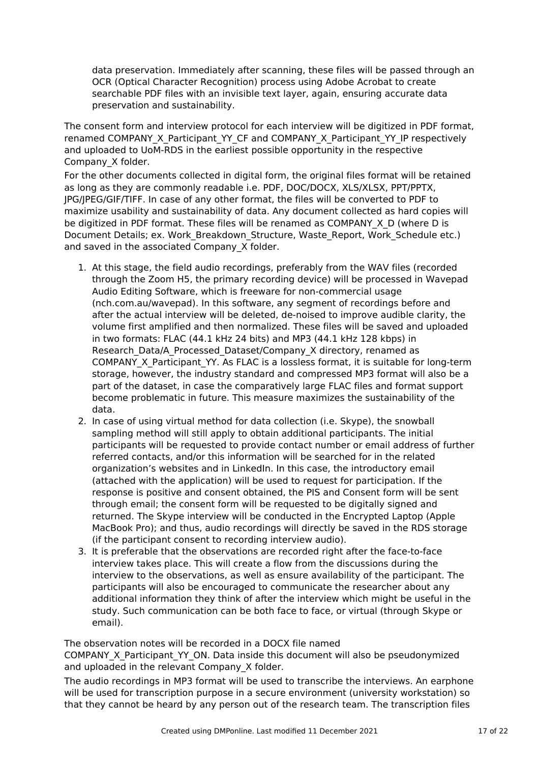data preservation. Immediately after scanning, these files will be passed through an OCR (Optical Character Recognition) process using Adobe Acrobat to create searchable PDF files with an invisible text layer, again, ensuring accurate data preservation and sustainability.

The consent form and interview protocol for each interview will be digitized in PDF format, renamed COMPANY\_X\_Participant\_YY\_CF and COMPANY\_X\_Participant\_YY\_IP respectively and uploaded to UoM-RDS in the earliest possible opportunity in the respective Company\_X folder.

For the other documents collected in digital form, the original files format will be retained as long as they are commonly readable i.e. PDF, DOC/DOCX, XLS/XLSX, PPT/PPTX, JPG/JPEG/GIF/TIFF. In case of any other format, the files will be converted to PDF to maximize usability and sustainability of data. Any document collected as hard copies will be digitized in PDF format. These files will be renamed as COMPANY X D (where D is Document Details; ex. Work Breakdown Structure, Waste Report, Work Schedule etc.) and saved in the associated Company X folder.

- 1. At this stage, the field audio recordings, preferably from the WAV files (recorded through the Zoom H5, the primary recording device) will be processed in Wavepad Audio Editing Software, which is freeware for non-commercial usage (nch.com.au/wavepad). In this software, any segment of recordings before and after the actual interview will be deleted, de-noised to improve audible clarity, the volume first amplified and then normalized. These files will be saved and uploaded in two formats: FLAC (44.1 kHz 24 bits) and MP3 (44.1 kHz 128 kbps) in Research\_Data/A\_Processed\_Dataset/Company\_X directory, renamed as COMPANY\_X\_Participant\_YY. As FLAC is a lossless format, it is suitable for long-term storage, however, the industry standard and compressed MP3 format will also be a part of the dataset, in case the comparatively large FLAC files and format support become problematic in future. This measure maximizes the sustainability of the data.
- 2. In case of using virtual method for data collection (i.e. Skype), the snowball sampling method will still apply to obtain additional participants. The initial participants will be requested to provide contact number or email address of further referred contacts, and/or this information will be searched for in the related organization's websites and in LinkedIn. In this case, the introductory email (attached with the application) will be used to request for participation. If the response is positive and consent obtained, the PIS and Consent form will be sent through email; the consent form will be requested to be digitally signed and returned. The Skype interview will be conducted in the Encrypted Laptop (Apple MacBook Pro); and thus, audio recordings will directly be saved in the RDS storage (if the participant consent to recording interview audio).
- 3. It is preferable that the observations are recorded right after the face-to-face interview takes place. This will create a flow from the discussions during the interview to the observations, as well as ensure availability of the participant. The participants will also be encouraged to communicate the researcher about any additional information they think of after the interview which might be useful in the study. Such communication can be both face to face, or virtual (through Skype or email).

The observation notes will be recorded in a DOCX file named

COMPANY\_X\_Participant\_YY\_ON. Data inside this document will also be pseudonymized and uploaded in the relevant Company X folder.

The audio recordings in MP3 format will be used to transcribe the interviews. An earphone will be used for transcription purpose in a secure environment (university workstation) so that they cannot be heard by any person out of the research team. The transcription files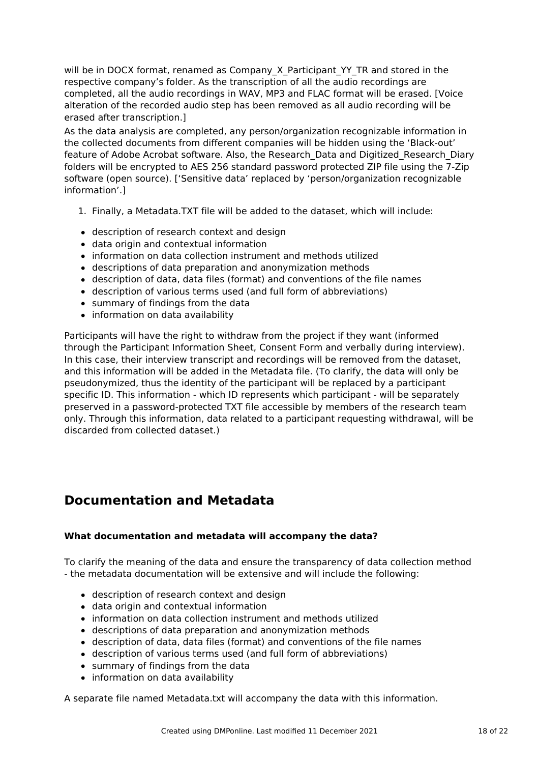will be in DOCX format, renamed as Company X Participant YY TR and stored in the respective company's folder. As the transcription of all the audio recordings are completed, all the audio recordings in WAV, MP3 and FLAC format will be erased. [Voice alteration of the recorded audio step has been removed as all audio recording will be erased after transcription.]

As the data analysis are completed, any person/organization recognizable information in the collected documents from different companies will be hidden using the 'Black-out' feature of Adobe Acrobat software. Also, the Research\_Data and Digitized\_Research\_Diary folders will be encrypted to AES 256 standard password protected ZIP file using the 7-Zip software (open source). ['Sensitive data' replaced by 'person/organization recognizable information'.]

- 1. Finally, a Metadata.TXT file will be added to the dataset, which will include:
- description of research context and design
- data origin and contextual information
- information on data collection instrument and methods utilized
- descriptions of data preparation and anonymization methods
- description of data, data files (format) and conventions of the file names
- description of various terms used (and full form of abbreviations)
- summary of findings from the data
- information on data availability

Participants will have the right to withdraw from the project if they want (informed through the Participant Information Sheet, Consent Form and verbally during interview). In this case, their interview transcript and recordings will be removed from the dataset, and this information will be added in the Metadata file. (To clarify, the data will only be pseudonymized, thus the identity of the participant will be replaced by a participant specific ID. This information - which ID represents which participant - will be separately preserved in a password-protected TXT file accessible by members of the research team only. Through this information, data related to a participant requesting withdrawal, will be discarded from collected dataset.)

# **Documentation and Metadata**

#### **What documentation and metadata will accompany the data?**

To clarify the meaning of the data and ensure the transparency of data collection method - the metadata documentation will be extensive and will include the following:

- description of research context and design
- data origin and contextual information
- information on data collection instrument and methods utilized
- descriptions of data preparation and anonymization methods
- description of data, data files (format) and conventions of the file names
- description of various terms used (and full form of abbreviations)
- summary of findings from the data
- information on data availability

A separate file named Metadata.txt will accompany the data with this information.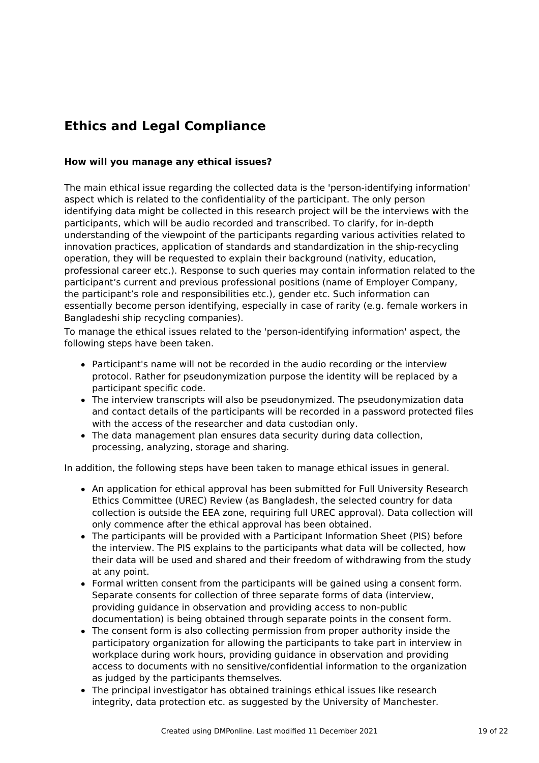# **Ethics and Legal Compliance**

### **How will you manage any ethical issues?**

The main ethical issue regarding the collected data is the 'person-identifying information' aspect which is related to the confidentiality of the participant. The only person identifying data might be collected in this research project will be the interviews with the participants, which will be audio recorded and transcribed. To clarify, for in-depth understanding of the viewpoint of the participants regarding various activities related to innovation practices, application of standards and standardization in the ship-recycling operation, they will be requested to explain their background (nativity, education, professional career etc.). Response to such queries may contain information related to the participant's current and previous professional positions (name of Employer Company, the participant's role and responsibilities etc.), gender etc. Such information can essentially become person identifying, especially in case of rarity (e.g. female workers in Bangladeshi ship recycling companies).

To manage the ethical issues related to the 'person-identifying information' aspect, the following steps have been taken.

- Participant's name will not be recorded in the audio recording or the interview protocol. Rather for pseudonymization purpose the identity will be replaced by a participant specific code.
- The interview transcripts will also be pseudonymized. The pseudonymization data and contact details of the participants will be recorded in a password protected files with the access of the researcher and data custodian only.
- The data management plan ensures data security during data collection, processing, analyzing, storage and sharing.

In addition, the following steps have been taken to manage ethical issues in general.

- An application for ethical approval has been submitted for Full University Research Ethics Committee (UREC) Review (as Bangladesh, the selected country for data collection is outside the EEA zone, requiring full UREC approval). Data collection will only commence after the ethical approval has been obtained.
- The participants will be provided with a Participant Information Sheet (PIS) before the interview. The PIS explains to the participants what data will be collected, how their data will be used and shared and their freedom of withdrawing from the study at any point.
- Formal written consent from the participants will be gained using a consent form. Separate consents for collection of three separate forms of data (interview, providing guidance in observation and providing access to non-public documentation) is being obtained through separate points in the consent form.
- The consent form is also collecting permission from proper authority inside the participatory organization for allowing the participants to take part in interview in workplace during work hours, providing guidance in observation and providing access to documents with no sensitive/confidential information to the organization as judged by the participants themselves.
- The principal investigator has obtained trainings ethical issues like research integrity, data protection etc. as suggested by the University of Manchester.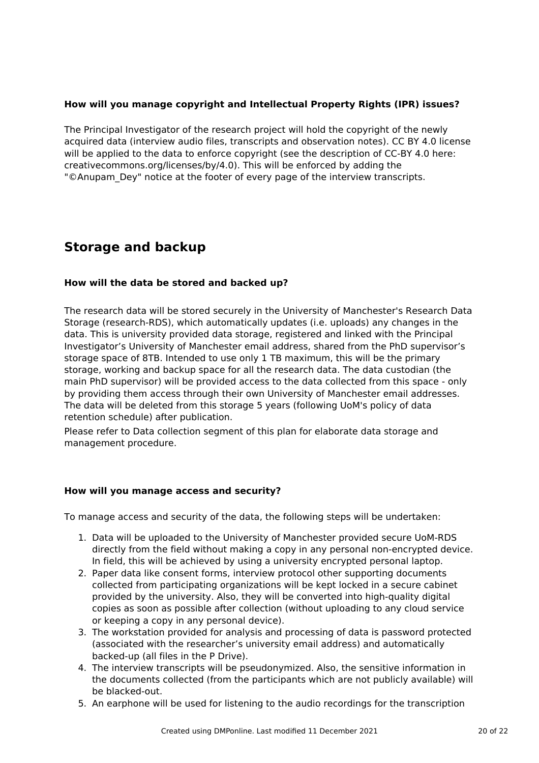# **How will you manage copyright and Intellectual Property Rights (IPR) issues?**

The Principal Investigator of the research project will hold the copyright of the newly acquired data (interview audio files, transcripts and observation notes). CC BY 4.0 license will be applied to the data to enforce copyright (see the description of CC-BY 4.0 here: creativecommons.org/licenses/by/4.0). This will be enforced by adding the "©Anupam Dey" notice at the footer of every page of the interview transcripts.

# **Storage and backup**

#### **How will the data be stored and backed up?**

The research data will be stored securely in the University of Manchester's Research Data Storage (research-RDS), which automatically updates (i.e. uploads) any changes in the data. This is university provided data storage, registered and linked with the Principal Investigator's University of Manchester email address, shared from the PhD supervisor's storage space of 8TB. Intended to use only 1 TB maximum, this will be the primary storage, working and backup space for all the research data. The data custodian (the main PhD supervisor) will be provided access to the data collected from this space - only by providing them access through their own University of Manchester email addresses. The data will be deleted from this storage 5 years (following UoM's policy of data retention schedule) after publication.

Please refer to Data collection segment of this plan for elaborate data storage and management procedure.

#### **How will you manage access and security?**

To manage access and security of the data, the following steps will be undertaken:

- 1. Data will be uploaded to the University of Manchester provided secure UoM-RDS directly from the field without making a copy in any personal non-encrypted device. In field, this will be achieved by using a university encrypted personal laptop.
- 2. Paper data like consent forms, interview protocol other supporting documents collected from participating organizations will be kept locked in a secure cabinet provided by the university. Also, they will be converted into high-quality digital copies as soon as possible after collection (without uploading to any cloud service or keeping a copy in any personal device).
- 3. The workstation provided for analysis and processing of data is password protected (associated with the researcher's university email address) and automatically backed-up (all files in the P Drive).
- 4. The interview transcripts will be pseudonymized. Also, the sensitive information in the documents collected (from the participants which are not publicly available) will be blacked-out.
- 5. An earphone will be used for listening to the audio recordings for the transcription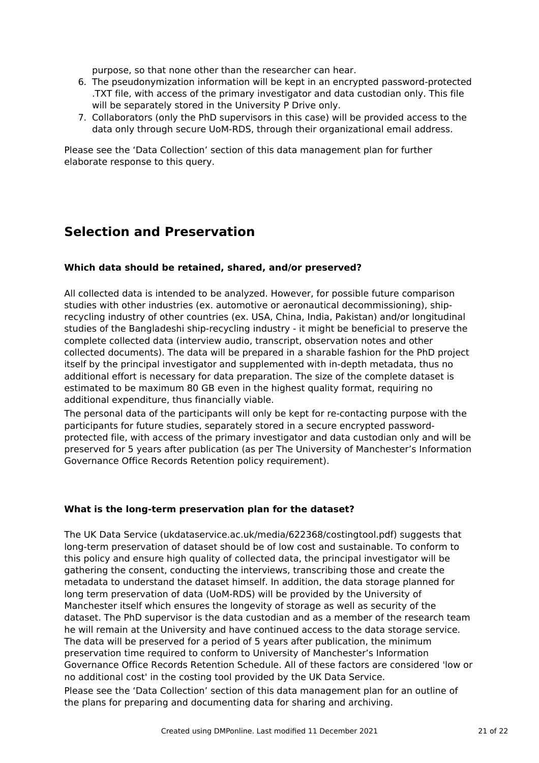purpose, so that none other than the researcher can hear.

- 6. The pseudonymization information will be kept in an encrypted password-protected .TXT file, with access of the primary investigator and data custodian only. This file will be separately stored in the University P Drive only.
- 7. Collaborators (only the PhD supervisors in this case) will be provided access to the data only through secure UoM-RDS, through their organizational email address.

Please see the 'Data Collection' section of this data management plan for further elaborate response to this query.

# **Selection and Preservation**

#### **Which data should be retained, shared, and/or preserved?**

All collected data is intended to be analyzed. However, for possible future comparison studies with other industries (ex. automotive or aeronautical decommissioning), shiprecycling industry of other countries (ex. USA, China, India, Pakistan) and/or longitudinal studies of the Bangladeshi ship-recycling industry - it might be beneficial to preserve the complete collected data (interview audio, transcript, observation notes and other collected documents). The data will be prepared in a sharable fashion for the PhD project itself by the principal investigator and supplemented with in-depth metadata, thus no additional effort is necessary for data preparation. The size of the complete dataset is estimated to be maximum 80 GB even in the highest quality format, requiring no additional expenditure, thus financially viable.

The personal data of the participants will only be kept for re-contacting purpose with the participants for future studies, separately stored in a secure encrypted passwordprotected file, with access of the primary investigator and data custodian only and will be preserved for 5 years after publication (as per The University of Manchester's Information Governance Office Records Retention policy requirement).

#### **What is the long-term preservation plan for the dataset?**

The UK Data Service (ukdataservice.ac.uk/media/622368/costingtool.pdf) suggests that long-term preservation of dataset should be of low cost and sustainable. To conform to this policy and ensure high quality of collected data, the principal investigator will be gathering the consent, conducting the interviews, transcribing those and create the metadata to understand the dataset himself. In addition, the data storage planned for long term preservation of data (UoM-RDS) will be provided by the University of Manchester itself which ensures the longevity of storage as well as security of the dataset. The PhD supervisor is the data custodian and as a member of the research team he will remain at the University and have continued access to the data storage service. The data will be preserved for a period of 5 years after publication, the minimum preservation time required to conform to University of Manchester's Information Governance Office Records Retention Schedule. All of these factors are considered 'low or no additional cost' in the costing tool provided by the UK Data Service.

Please see the 'Data Collection' section of this data management plan for an outline of the plans for preparing and documenting data for sharing and archiving.